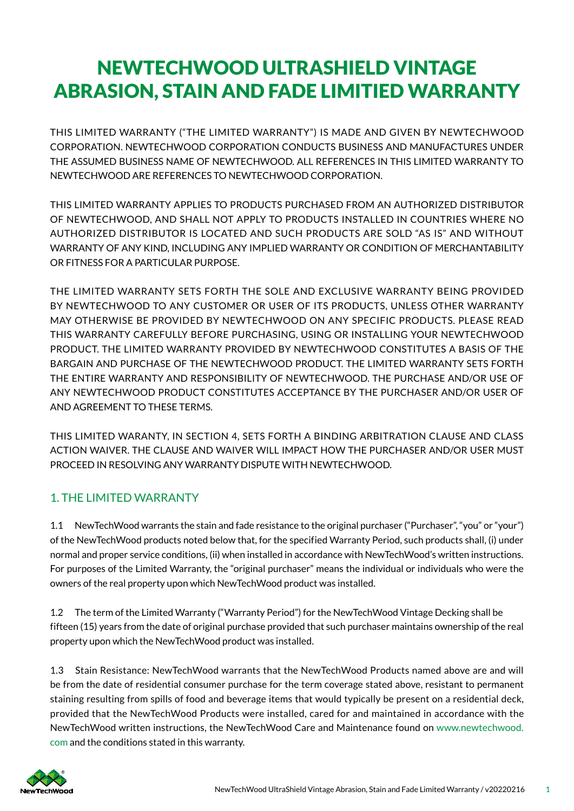# NEWTECHWOOD ULTRASHIELD VINTAGE ABRASION, STAIN AND FADE LIMITIED WARRANTY

THIS LIMITED WARRANTY ("THE LIMITED WARRANTY") IS MADE AND GIVEN BY NEWTECHWOOD CORPORATION. NEWTECHWOOD CORPORATION CONDUCTS BUSINESS AND MANUFACTURES UNDER THE ASSUMED BUSINESS NAME OF NEWTECHWOOD. ALL REFERENCES IN THIS LIMITED WARRANTY TO NEWTECHWOOD ARE REFERENCES TO NEWTECHWOOD CORPORATION.

THIS LIMITED WARRANTY APPLIES TO PRODUCTS PURCHASED FROM AN AUTHORIZED DISTRIBUTOR OF NEWTECHWOOD, AND SHALL NOT APPLY TO PRODUCTS INSTALLED IN COUNTRIES WHERE NO AUTHORIZED DISTRIBUTOR IS LOCATED AND SUCH PRODUCTS ARE SOLD "AS IS" AND WITHOUT WARRANTY OF ANY KIND, INCLUDING ANY IMPLIED WARRANTY OR CONDITION OF MERCHANTABILITY OR FITNESS FOR A PARTICULAR PURPOSE.

THE LIMITED WARRANTY SETS FORTH THE SOLE AND EXCLUSIVE WARRANTY BEING PROVIDED BY NEWTECHWOOD TO ANY CUSTOMER OR USER OF ITS PRODUCTS, UNLESS OTHER WARRANTY MAY OTHERWISE BE PROVIDED BY NEWTECHWOOD ON ANY SPECIFIC PRODUCTS. PLEASE READ THIS WARRANTY CAREFULLY BEFORE PURCHASING, USING OR INSTALLING YOUR NEWTECHWOOD PRODUCT. THE LIMITED WARRANTY PROVIDED BY NEWTECHWOOD CONSTITUTES A BASIS OF THE BARGAIN AND PURCHASE OF THE NEWTECHWOOD PRODUCT. THE LIMITED WARRANTY SETS FORTH THE ENTIRE WARRANTY AND RESPONSIBILITY OF NEWTECHWOOD. THE PURCHASE AND/OR USE OF ANY NEWTECHWOOD PRODUCT CONSTITUTES ACCEPTANCE BY THE PURCHASER AND/OR USER OF AND AGREEMENT TO THESE TERMS.

THIS LIMITED WARANTY, IN SECTION 4, SETS FORTH A BINDING ARBITRATION CLAUSE AND CLASS ACTION WAIVER. THE CLAUSE AND WAIVER WILL IMPACT HOW THE PURCHASER AND/OR USER MUST PROCEED IN RESOLVING ANY WARRANTY DISPUTE WITH NEWTECHWOOD.

# 1. THE LIMITED WARRANTY

1.1 NewTechWood warrants the stain and fade resistance to the original purchaser ("Purchaser", "you" or "your") of the NewTechWood products noted below that, for the specif ied Warranty Period, such products shall, (i) under normal and proper service conditions, (ii) when installed in accordance with NewTechWood's written instructions. For purposes of the Limited Warranty, the "original purchaser" means the individual or individuals who were the owners of the real property upon which NewTechWood product was installed.

1.2 The term of the Limited Warranty ("Warranty Period") for the NewTechWood Vintage Decking shall be fifteen (15) years from the date of original purchase provided that such purchaser maintains ownership of the real property upon which the NewTechWood product was installed.

1.3 Stain Resistance: NewTechWood warrants that the NewTechWood Products named above are and will be from the date of residential consumer purchase for the term coverage stated above, resistant to permanent staining resulting from spills of food and beverage items that would typically be present on a residential deck, provided that the NewTechWood Products were installed, cared for and maintained in accordance with the NewTechWood written instructions, the NewTechWood Care and Maintenance found on www.newtechwood. com and the conditions stated in this warranty.

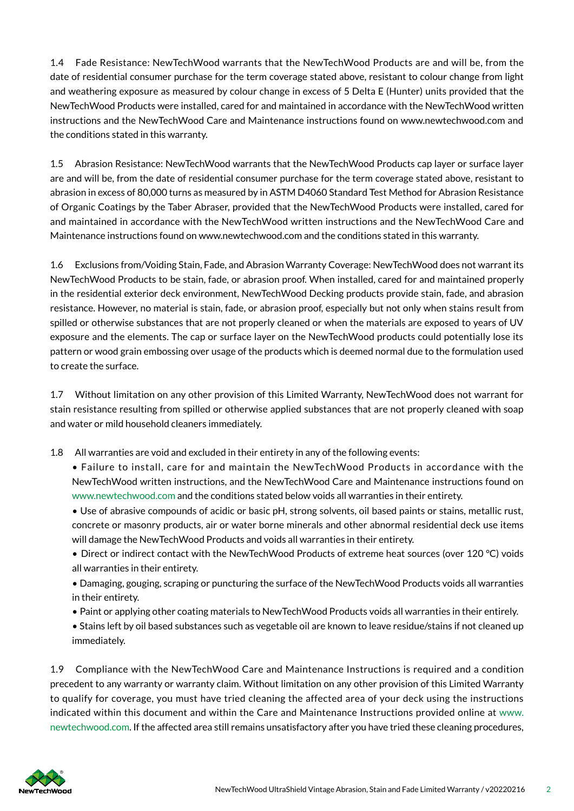1.4 Fade Resistance: NewTechWood warrants that the NewTechWood Products are and will be, from the date of residential consumer purchase for the term coverage stated above, resistant to colour change from light and weathering exposure as measured by colour change in excess of 5 Delta E (Hunter) units provided that the NewTechWood Products were installed, cared for and maintained in accordance with the NewTechWood written instructions and the NewTechWood Care and Maintenance instructions found on www.newtechwood.com and the conditions stated in this warranty.

1.5 Abrasion Resistance: NewTechWood warrants that the NewTechWood Products cap layer or surface layer are and will be, from the date of residential consumer purchase for the term coverage stated above, resistant to abrasion in excess of 80,000 turns as measured by in ASTM D4060 Standard Test Method for Abrasion Resistance of Organic Coatings by the Taber Abraser, provided that the NewTechWood Products were installed, cared for and maintained in accordance with the NewTechWood written instructions and the NewTechWood Care and Maintenance instructions found on www.newtechwood.com and the conditions stated in this warranty.

1.6 Exclusions from/Voiding Stain, Fade, and Abrasion Warranty Coverage: NewTechWood does not warrant its NewTechWood Products to be stain, fade, or abrasion proof. When installed, cared for and maintained properly in the residential exterior deck environment, NewTechWood Decking products provide stain, fade, and abrasion resistance. However, no material is stain, fade, or abrasion proof, especially but not only when stains result from spilled or otherwise substances that are not properly cleaned or when the materials are exposed to years of UV exposure and the elements. The cap or surface layer on the NewTechWood products could potentially lose its pattern or wood grain embossing over usage of the products which is deemed normal due to the formulation used to create the surface.

1.7 Without limitation on any other provision of this Limited Warranty, NewTechWood does not warrant for stain resistance resulting from spilled or otherwise applied substances that are not properly cleaned with soap and water or mild household cleaners immediately.

1.8 All warranties are void and excluded in their entirety in any of the following events:

- Failure to install, care for and maintain the NewTechWood Products in accordance with the NewTechWood written instructions, and the NewTechWood Care and Maintenance instructions found on www.newtechwood.com and the conditions stated below voids all warranties in their entirety.
- Use of abrasive compounds of acidic or basic pH, strong solvents, oil based paints or stains, metallic rust, concrete or masonry products, air or water borne minerals and other abnormal residential deck use items will damage the NewTechWood Products and voids all warranties in their entirety.
- Direct or indirect contact with the NewTechWood Products of extreme heat sources (over 120 °C) voids all warranties in their entirety.
- Damaging, gouging, scraping or puncturing the surface of the NewTechWood Products voids all warranties in their entirety.
- Paint or applying other coating materials to NewTechWood Products voids all warranties in their entirely.
- Stains left by oil based substances such as vegetable oil are known to leave residue/stains if not cleaned up immediately.

1.9 Compliance with the NewTechWood Care and Maintenance Instructions is required and a condition precedent to any warranty or warranty claim. Without limitation on any other provision of this Limited Warranty to qualify for coverage, you must have tried cleaning the affected area of your deck using the instructions indicated within this document and within the Care and Maintenance Instructions provided online at www. newtechwood.com. If the affected area still remains unsatisfactory after you have tried these cleaning procedures,

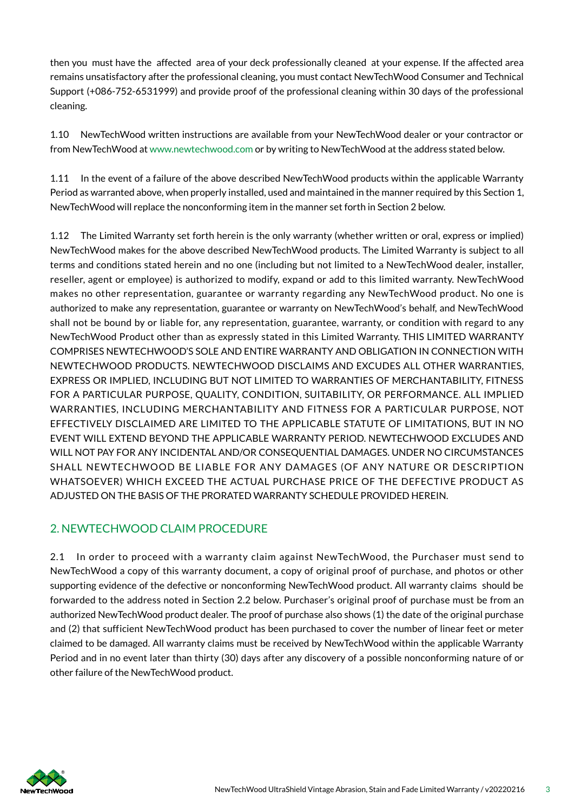then you must have the affected area of your deck professionally cleaned at your expense. If the affected area remains unsatisfactory after the professional cleaning, you must contact NewTechWood Consumer and Technical Support (+086-752-6531999) and provide proof of the professional cleaning within 30 days of the professional cleaning.

1.10 NewTechWood written instructions are available from your NewTechWood dealer or your contractor or from NewTechWood at www.newtechwood.com or by writing to NewTechWood at the address stated below.

1.11 In the event of a failure of the above described NewTechWood products within the applicable Warranty Period as warranted above, when properly installed, used and maintained in the manner required by this Section 1, NewTechWood will replace the nonconforming item in the manner set forth in Section 2 below.

1.12 The Limited Warranty set forth herein is the only warranty (whether written or oral, express or implied) NewTechWood makes for the above described NewTechWood products. The Limited Warranty is subject to all terms and conditions stated herein and no one (including but not limited to a NewTechWood dealer, installer, reseller, agent or employee) is authorized to modify, expand or add to this limited warranty. NewTechWood makes no other representation, guarantee or warranty regarding any NewTechWood product. No one is authorized to make any representation, guarantee or warranty on NewTechWood's behalf, and NewTechWood shall not be bound by or liable for, any representation, guarantee, warranty, or condition with regard to any NewTechWood Product other than as expressly stated in this Limited Warranty. THIS LIMITED WARRANTY COMPRISES NEWTECHWOOD'S SOLE AND ENTIRE WARRANTY AND OBLIGATION IN CONNECTION WITH NEWTECHWOOD PRODUCTS. NEWTECHWOOD DISCLAIMS AND EXCUDES ALL OTHER WARRANTIES, EXPRESS OR IMPLIED, INCLUDING BUT NOT LIMITED TO WARRANTIES OF MERCHANTABILITY, FITNESS FOR A PARTICULAR PURPOSE, QUALITY, CONDITION, SUITABILITY, OR PERFORMANCE. ALL IMPLIED WARRANTIES, INCLUDING MERCHANTABILITY AND FITNESS FOR A PARTICULAR PURPOSE, NOT EFFECTIVELY DISCLAIMED ARE LIMITED TO THE APPLICABLE STATUTE OF LIMITATIONS, BUT IN NO EVENT WILL EXTEND BEYOND THE APPLICABLE WARRANTY PERIOD. NEWTECHWOOD EXCLUDES AND WILL NOT PAY FOR ANY INCIDENTAL AND/OR CONSEQUENTIAL DAMAGES. UNDER NO CIRCUMSTANCES SHALL NEWTECHWOOD BE LIABLE FOR ANY DAMAGES (OF ANY NATURE OR DESCRIPTION WHATSOEVER) WHICH EXCEED THE ACTUAL PURCHASE PRICE OF THE DEFECTIVE PRODUCT AS ADJUSTED ON THE BASIS OF THE PRORATED WARRANTY SCHEDULE PROVIDED HEREIN.

# 2. NEWTECHWOOD CLAIM PROCEDURE

2.1 In order to proceed with a warranty claim against NewTechWood, the Purchaser must send to NewTechWood a copy of this warranty document, a copy of original proof of purchase, and photos or other supporting evidence of the defective or nonconforming NewTechWood product. All warranty claims should be forwarded to the address noted in Section 2.2 below. Purchaser's original proof of purchase must be from an authorized NewTechWood product dealer. The proof of purchase also shows (1) the date of the original purchase and (2) that sufficient NewTechWood product has been purchased to cover the number of linear feet or meter claimed to be damaged. All warranty claims must be received by NewTechWood within the applicable Warranty Period and in no event later than thirty (30) days after any discovery of a possible nonconforming nature of or other failure of the NewTechWood product.

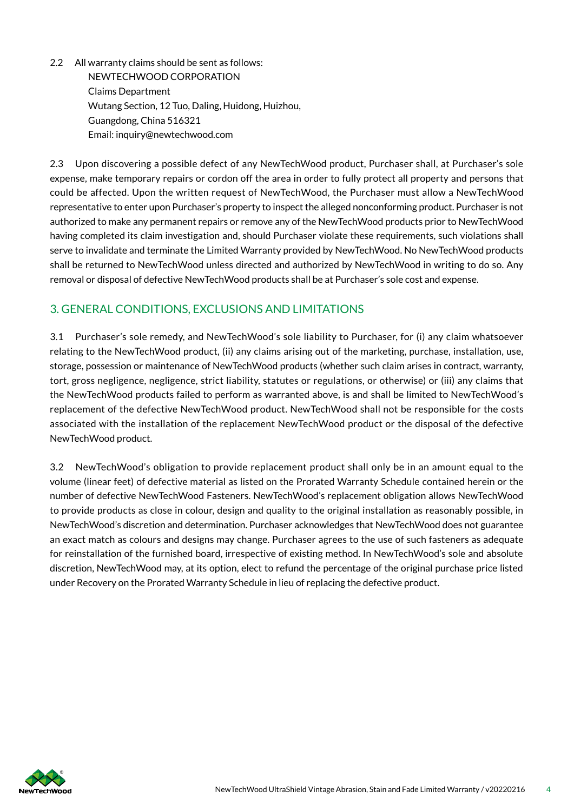2.2 All warranty claims should be sent as follows: NEWTECHWOOD CORPORATION Claims Department Wutang Section, 12 Tuo, Daling, Huidong, Huizhou, Guangdong, China 516321 Email: inquiry@newtechwood.com

2.3 Upon discovering a possible defect of any NewTechWood product, Purchaser shall, at Purchaser's sole expense, make temporary repairs or cordon off the area in order to fully protect all property and persons that could be affected. Upon the written request of NewTechWood, the Purchaser must allow a NewTechWood representative to enter upon Purchaser's property to inspect the alleged nonconforming product. Purchaser is not authorized to make any permanent repairs or remove any of the NewTechWood products prior to NewTechWood having completed its claim investigation and, should Purchaser violate these requirements, such violations shall serve to invalidate and terminate the Limited Warranty provided by NewTechWood. No NewTechWood products shall be returned to NewTechWood unless directed and authorized by NewTechWood in writing to do so. Any removal or disposal of defective NewTechWood products shall be at Purchaser's sole cost and expense.

### 3. GENERAL CONDITIONS, EXCLUSIONS AND LIMITATIONS

3.1 Purchaser's sole remedy, and NewTechWood's sole liability to Purchaser, for (i) any claim whatsoever relating to the NewTechWood product, (ii) any claims arising out of the marketing, purchase, installation, use, storage, possession or maintenance of NewTechWood products (whether such claim arises in contract, warranty, tort, gross negligence, negligence, strict liability, statutes or regulations, or otherwise) or (iii) any claims that the NewTechWood products failed to perform as warranted above, is and shall be limited to NewTechWood's replacement of the defective NewTechWood product. NewTechWood shall not be responsible for the costs associated with the installation of the replacement NewTechWood product or the disposal of the defective NewTechWood product.

3.2 NewTechWood's obligation to provide replacement product shall only be in an amount equal to the volume (linear feet) of defective material as listed on the Prorated Warranty Schedule contained herein or the number of defective NewTechWood Fasteners. NewTechWood's replacement obligation allows NewTechWood to provide products as close in colour, design and quality to the original installation as reasonably possible, in NewTechWood's discretion and determination. Purchaser acknowledges that NewTechWood does not guarantee an exact match as colours and designs may change. Purchaser agrees to the use of such fasteners as adequate for reinstallation of the furnished board, irrespective of existing method. In NewTechWood's sole and absolute discretion, NewTechWood may, at its option, elect to refund the percentage of the original purchase price listed under Recovery on the Prorated Warranty Schedule in lieu of replacing the defective product.

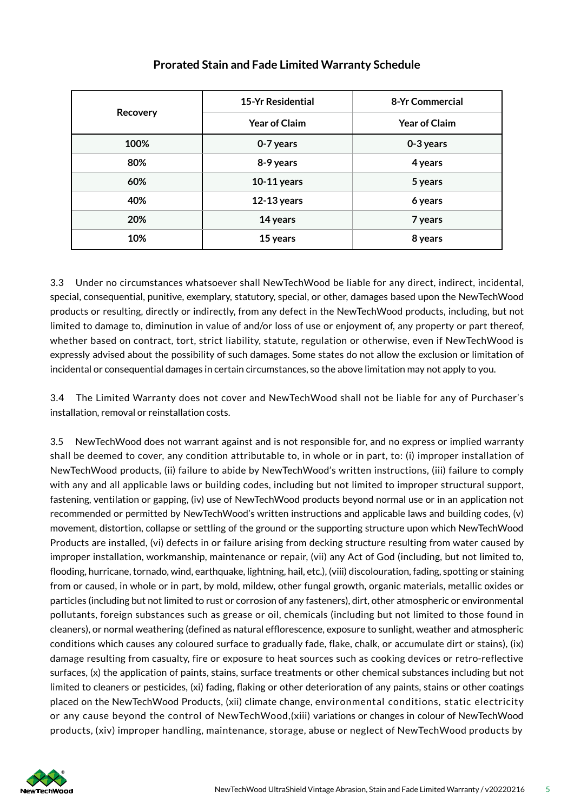| <b>Recovery</b> | <b>15-Yr Residential</b> | 8-Yr Commercial      |
|-----------------|--------------------------|----------------------|
|                 | <b>Year of Claim</b>     | <b>Year of Claim</b> |
| 100%            | 0-7 years                | 0-3 years            |
| 80%             | 8-9 years                | 4 years              |
| 60%             | $10-11$ years            | 5 years              |
| 40%             | $12-13$ years            | 6 years              |
| 20%             | 14 years                 | 7 years              |
| 10%             | 15 years                 | 8 years              |

#### **Prorated Stain and Fade Limited Warranty Schedule**

3.3 Under no circumstances whatsoever shall NewTechWood be liable for any direct, indirect, incidental, special, consequential, punitive, exemplary, statutory, special, or other, damages based upon the NewTechWood products or resulting, directly or indirectly, from any defect in the NewTechWood products, including, but not limited to damage to, diminution in value of and/or loss of use or enjoyment of, any property or part thereof, whether based on contract, tort, strict liability, statute, regulation or otherwise, even if NewTechWood is expressly advised about the possibility of such damages. Some states do not allow the exclusion or limitation of incidental or consequential damages in certain circumstances, so the above limitation may not apply to you.

3.4 The Limited Warranty does not cover and NewTechWood shall not be liable for any of Purchaser's installation, removal or reinstallation costs.

3.5 NewTechWood does not warrant against and is not responsible for, and no express or implied warranty shall be deemed to cover, any condition attributable to, in whole or in part, to: (i) improper installation of NewTechWood products, (ii) failure to abide by NewTechWood's written instructions, (iii) failure to comply with any and all applicable laws or building codes, including but not limited to improper structural support, fastening, ventilation or gapping, (iv) use of NewTechWood products beyond normal use or in an application not recommended or permitted by NewTechWood's written instructions and applicable laws and building codes, (v) movement, distortion, collapse or settling of the ground or the supporting structure upon which NewTechWood Products are installed, (vi) defects in or failure arising from decking structure resulting from water caused by improper installation, workmanship, maintenance or repair, (vii) any Act of God (including, but not limited to, flooding, hurricane, tornado, wind, earthquake, lightning, hail, etc.), (viii) discolouration, fading, spotting or staining from or caused, in whole or in part, by mold, mildew, other fungal growth, organic materials, metallic oxides or particles (including but not limited to rust or corrosion of any fasteners), dirt, other atmospheric or environmental pollutants, foreign substances such as grease or oil, chemicals (including but not limited to those found in cleaners), or normal weathering (defined as natural efflorescence, exposure to sunlight, weather and atmospheric conditions which causes any coloured surface to gradually fade, flake, chalk, or accumulate dirt or stains), (ix) damage resulting from casualty, fire or exposure to heat sources such as cooking devices or retro-reflective surfaces, (x) the application of paints, stains, surface treatments or other chemical substances including but not limited to cleaners or pesticides, (xi) fading, flaking or other deterioration of any paints, stains or other coatings placed on the NewTechWood Products, (xii) climate change, environmental conditions, static electricity or any cause beyond the control of NewTechWood,(xiii) variations or changes in colour of NewTechWood products, (xiv) improper handling, maintenance, storage, abuse or neglect of NewTechWood products by

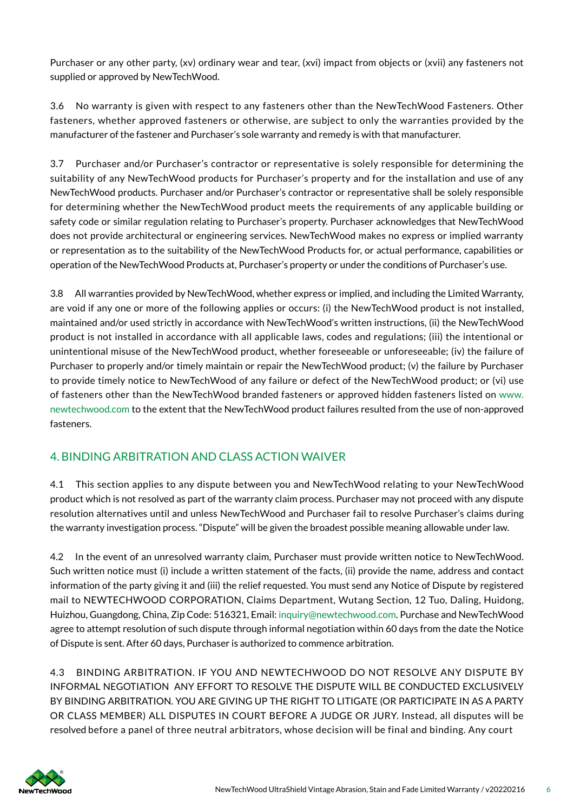Purchaser or any other party, (xv) ordinary wear and tear, (xvi) impact from objects or (xvii) any fasteners not supplied or approved by NewTechWood.

3.6 No warranty is given with respect to any fasteners other than the NewTechWood Fasteners. Other fasteners, whether approved fasteners or otherwise, are subject to only the warranties provided by the manufacturer of the fastener and Purchaser's sole warranty and remedy is with that manufacturer.

3.7 Purchaser and/or Purchaser's contractor or representative is solely responsible for determining the suitability of any NewTechWood products for Purchaser's property and for the installation and use of any NewTechWood products. Purchaser and/or Purchaser's contractor or representative shall be solely responsible for determining whether the NewTechWood product meets the requirements of any applicable building or safety code or similar regulation relating to Purchaser's property. Purchaser acknowledges that NewTechWood does not provide architectural or engineering services. NewTechWood makes no express or implied warranty or representation as to the suitability of the NewTechWood Products for, or actual performance, capabilities or operation of the NewTechWood Products at, Purchaser's property or under the conditions of Purchaser's use.

3.8 All warranties provided by NewTechWood, whether express or implied, and including the Limited Warranty, are void if any one or more of the following applies or occurs: (i) the NewTechWood product is not installed, maintained and/or used strictly in accordance with NewTechWood's written instructions, (ii) the NewTechWood product is not installed in accordance with all applicable laws, codes and regulations; (iii) the intentional or unintentional misuse of the NewTechWood product, whether foreseeable or unforeseeable; (iv) the failure of Purchaser to properly and/or timely maintain or repair the NewTechWood product; (v) the failure by Purchaser to provide timely notice to NewTechWood of any failure or defect of the NewTechWood product; or (vi) use of fasteners other than the NewTechWood branded fasteners or approved hidden fasteners listed on www. newtechwood.com to the extent that the NewTechWood product failures resulted from the use of non-approved fasteners.

# 4. BINDING ARBITRATION AND CLASS ACTION WAIVER

4.1 This section applies to any dispute between you and NewTechWood relating to your NewTechWood product which is not resolved as part of the warranty claim process. Purchaser may not proceed with any dispute resolution alternatives until and unless NewTechWood and Purchaser fail to resolve Purchaser's claims during the warranty investigation process. "Dispute" will be given the broadest possible meaning allowable under law.

4.2 In the event of an unresolved warranty claim, Purchaser must provide written notice to NewTechWood. Such written notice must (i) include a written statement of the facts, (ii) provide the name, address and contact information of the party giving it and (iii) the relief requested. You must send any Notice of Dispute by registered mail to NEWTECHWOOD CORPORATION, Claims Department, Wutang Section, 12 Tuo, Daling, Huidong, Huizhou, Guangdong, China, Zip Code: 516321, Email: inquiry@newtechwood.com. Purchase and NewTechWood agree to attempt resolution of such dispute through informal negotiation within 60 days from the date the Notice of Dispute is sent. After 60 days, Purchaser is authorized to commence arbitration.

4.3 BINDING ARBITRATION. IF YOU AND NEWTECHWOOD DO NOT RESOLVE ANY DISPUTE BY INFORMAL NEGOTIATION ANY EFFORT TO RESOLVE THE DISPUTE WILL BE CONDUCTED EXCLUSIVELY BY BINDING ARBITRATION. YOU ARE GIVING UP THE RIGHT TO LITIGATE (OR PARTICIPATE IN AS A PARTY OR CLASS MEMBER) ALL DISPUTES IN COURT BEFORE A JUDGE OR JURY. Instead, all disputes will be resolved before a panel of three neutral arbitrators, whose decision will be final and binding. Any court